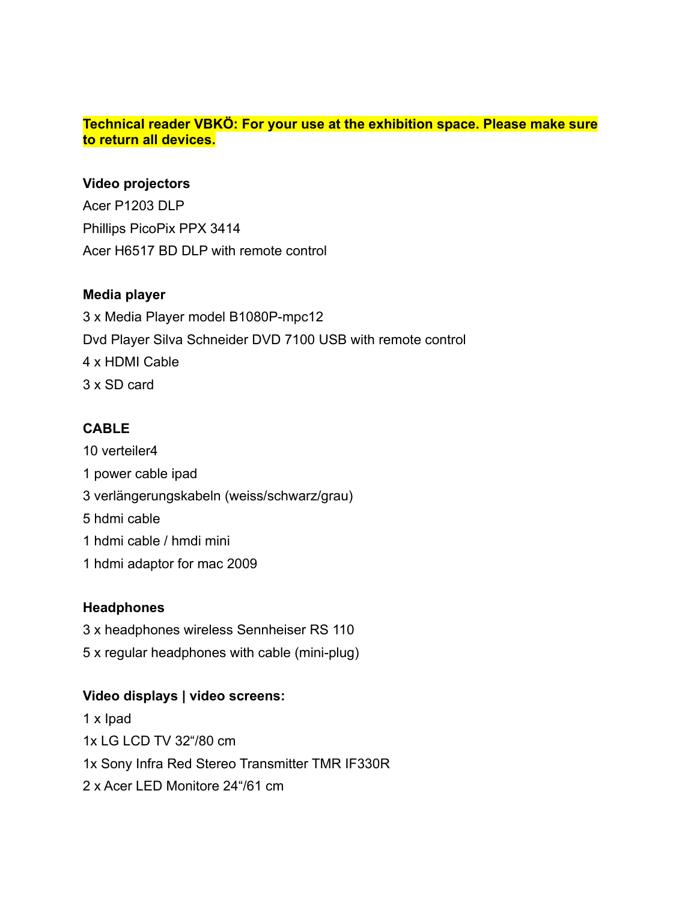#### **Technical reader VBKÖ: For your use at the exhibition space. Please make sure to return all devices.**

#### **Video projectors**

Acer P1203 DLP Phillips PicoPix PPX 3414 Acer H6517 BD DLP with remote control

### **Media player**

3 x Media Player model B1080P-mpc12 Dvd Player Silva Schneider DVD 7100 USB with remote control 4 x HDMI Cable 3 x SD card

## **CABLE**

10 verteiler4 1 power cable ipad 3 verlängerungskabeln (weiss/schwarz/grau) 5 hdmi cable 1 hdmi cable / hmdi mini 1 hdmi adaptor for mac 2009

### **Headphones**

- 3 x headphones wireless Sennheiser RS 110
- 5 x regular headphones with cable (mini-plug)

### **Video displays | video screens:**

1 x Ipad 1x LG LCD TV 32"/80 cm 1x Sony Infra Red Stereo Transmitter TMR IF330R 2 x Acer LED Monitore 24"/61 cm